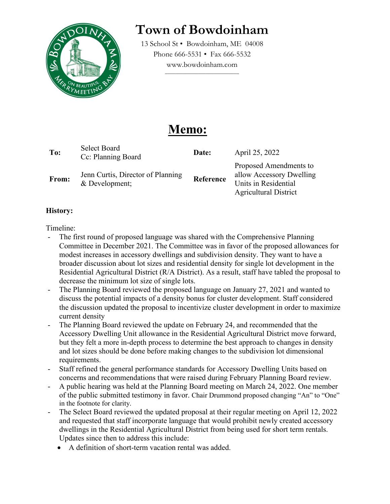

# **Town of Bowdoinham**

13 School St • Bowdoinham, ME 04008 Phone 666-5531 • Fax 666-5532 www.bowdoinham.com \_\_\_\_\_\_\_\_\_\_\_\_\_\_\_\_\_\_\_\_\_\_\_\_\_\_\_\_\_

## **Memo:**

| To:   | Select Board<br>Cc: Planning Board                  | Date:     | April 25, 2022                                                                                             |
|-------|-----------------------------------------------------|-----------|------------------------------------------------------------------------------------------------------------|
| From: | Jenn Curtis, Director of Planning<br>& Development; | Reference | Proposed Amendments to<br>allow Accessory Dwelling<br>Units in Residential<br><b>Agricultural District</b> |

## **History:**

Timeline:

- The first round of proposed language was shared with the Comprehensive Planning Committee in December 2021. The Committee was in favor of the proposed allowances for modest increases in accessory dwellings and subdivision density. They want to have a broader discussion about lot sizes and residential density for single lot development in the Residential Agricultural District (R/A District). As a result, staff have tabled the proposal to decrease the minimum lot size of single lots.
- The Planning Board reviewed the proposed language on January 27, 2021 and wanted to discuss the potential impacts of a density bonus for cluster development. Staff considered the discussion updated the proposal to incentivize cluster development in order to maximize current density
- The Planning Board reviewed the update on February 24, and recommended that the Accessory Dwelling Unit allowance in the Residential Agricultural District move forward, but they felt a more in-depth process to determine the best approach to changes in density and lot sizes should be done before making changes to the subdivision lot dimensional requirements.
- Staff refined the general performance standards for Accessory Dwelling Units based on concerns and recommendations that were raised during February Planning Board review.
- A public hearing was held at the Planning Board meeting on March 24, 2022. One member of the public submitted testimony in favor. Chair Drummond proposed changing "An" to "One" in the footnote for clarity.
- The Select Board reviewed the updated proposal at their regular meeting on April 12, 2022 and requested that staff incorporate language that would prohibit newly created accessory dwellings in the Residential Agricultural District from being used for short term rentals. Updates since then to address this include:
	- A definition of short-term vacation rental was added.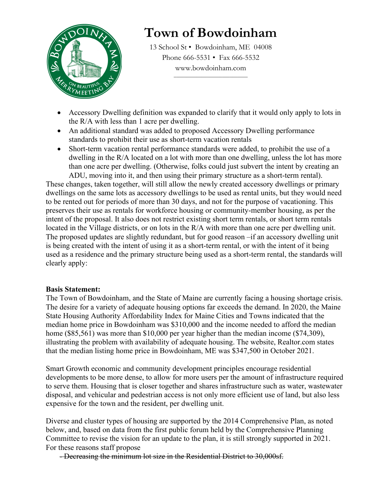

# **Town of Bowdoinham**

13 School St • Bowdoinham, ME 04008 Phone 666-5531 • Fax 666-5532 www.bowdoinham.com

\_\_\_\_\_\_\_\_\_\_\_\_\_\_\_\_\_\_\_\_\_\_\_\_\_\_\_\_\_

- Accessory Dwelling definition was expanded to clarify that it would only apply to lots in the R/A with less than 1 acre per dwelling.
- An additional standard was added to proposed Accessory Dwelling performance standards to prohibit their use as short-term vacation rentals
- Short-term vacation rental performance standards were added, to prohibit the use of a dwelling in the R/A located on a lot with more than one dwelling, unless the lot has more than one acre per dwelling. (Otherwise, folks could just subvert the intent by creating an ADU, moving into it, and then using their primary structure as a short-term rental).

These changes, taken together, will still allow the newly created accessory dwellings or primary dwellings on the same lots as accessory dwellings to be used as rental units, but they would need to be rented out for periods of more than 30 days, and not for the purpose of vacationing. This preserves their use as rentals for workforce housing or community-member housing, as per the intent of the proposal. It also does not restrict existing short term rentals, or short term rentals located in the Village districts, or on lots in the R/A with more than one acre per dwelling unit. The proposed updates are slightly redundant, but for good reason –if an accessory dwelling unit is being created with the intent of using it as a short-term rental, or with the intent of it being used as a residence and the primary structure being used as a short-term rental, the standards will clearly apply:

## **Basis Statement:**

The Town of Bowdoinham, and the State of Maine are currently facing a housing shortage crisis. The desire for a variety of adequate housing options far exceeds the demand. In 2020, the Maine State Housing Authority Affordability Index for Maine Cities and Towns indicated that the median home price in Bowdoinham was \$310,000 and the income needed to afford the median home (\$85,561) was more than \$10,000 per year higher than the median income (\$74,309), illustrating the problem with availability of adequate housing. The website, Realtor.com states that the median listing home price in Bowdoinham, ME was \$347,500 in October 2021.

Smart Growth economic and community development principles encourage residential developments to be more dense, to allow for more users per the amount of infrastructure required to serve them. Housing that is closer together and shares infrastructure such as water, wastewater disposal, and vehicular and pedestrian access is not only more efficient use of land, but also less expensive for the town and the resident, per dwelling unit.

Diverse and cluster types of housing are supported by the 2014 Comprehensive Plan, as noted below, and, based on data from the first public forum held by the Comprehensive Planning Committee to revise the vision for an update to the plan, it is still strongly supported in 2021. For these reasons staff propose

- Decreasing the minimum lot size in the Residential District to 30,000sf.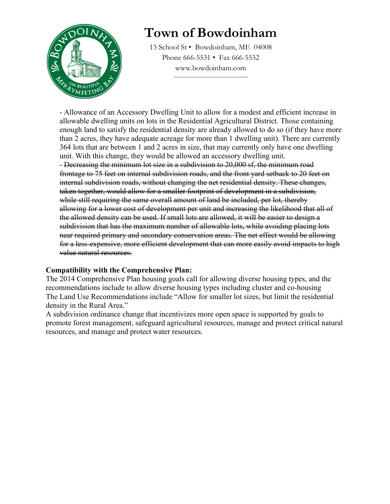

## **Town of Bowdoinham**

13 School St • Bowdoinham, ME 04008 Phone 666-5531 • Fax 666-5532 www.bowdoinham.com

\_\_\_\_\_\_\_\_\_\_\_\_\_\_\_\_\_\_\_\_\_\_\_\_\_\_\_\_\_

- Allowance of an Accessory Dwelling Unit to allow for a modest and efficient increase in allowable dwelling units on lots in the Residential Agricultural District. Those containing enough land to satisfy the residential density are already allowed to do so (if they have more than 2 acres, they have adequate acreage for more than 1 dwelling unit). There are currently 364 lots that are between 1 and 2 acres in size, that may currently only have one dwelling unit. With this change, they would be allowed an accessory dwelling unit. - Decreasing the minimum lot size in a subdivision to 20,000 sf, the minimum road frontage to 75 feet on internal subdivision roads, and the front yard setback to 20 feet on internal subdivision roads, without changing the net residential density. These changes, taken together, would allow for a smaller footprint of development in a subdivision, while still requiring the same overall amount of land be included, per lot, thereby allowing for a lower cost of development per unit and increasing the likelihood that all of the allowed density can be used. If small lots are allowed, it will be easier to design a subdivision that has the maximum number of allowable lots, while avoiding placing lots near required primary and secondary conservation areas. The net effect would be allowing for a less-expensive, more efficient development that can more easily avoid impacts to high value natural resources.

## **Compatibility with the Comprehensive Plan:**

The 2014 Comprehensive Plan housing goals call for allowing diverse housing types, and the recommendations include to allow diverse housing types including cluster and co-housing The Land Use Recommendations include "Allow for smaller lot sizes, but limit the residential density in the Rural Area."

A subdivision ordinance change that incentivizes more open space is supported by goals to promote forest management, safeguard agricultural resources, manage and protect critical natural resources, and manage and protect water resources.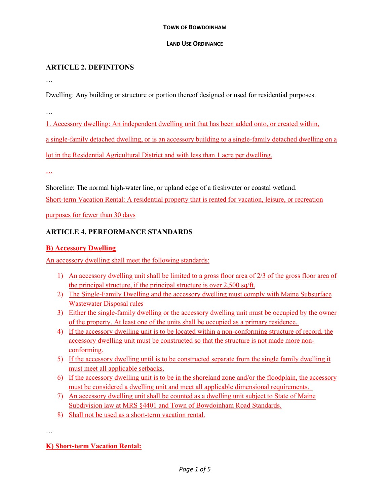#### **LAND USE ORDINANCE**

### **ARTICLE 2. DEFINITONS**

…

Dwelling: Any building or structure or portion thereof designed or used for residential purposes.

…

1. Accessory dwelling: An independent dwelling unit that has been added onto, or created within,

a single-family detached dwelling, or is an accessory building to a single-family detached dwelling on a

lot in the Residential Agricultural District and with less than 1 acre per dwelling.

…

Shoreline: The normal high-water line, or upland edge of a freshwater or coastal wetland.

Short-term Vacation Rental: A residential property that is rented for vacation, leisure, or recreation

purposes for fewer than 30 days

## **ARTICLE 4. PERFORMANCE STANDARDS**

## **B) Accessory Dwelling**

An accessory dwelling shall meet the following standards:

- 1) An accessory dwelling unit shall be limited to a gross floor area of 2/3 of the gross floor area of the principal structure, if the principal structure is over 2,500 sq/ft.
- 2) The Single-Family Dwelling and the accessory dwelling must comply with Maine Subsurface Wastewater Disposal rules
- 3) Either the single-family dwelling or the accessory dwelling unit must be occupied by the owner of the property. At least one of the units shall be occupied as a primary residence.
- 4) If the accessory dwelling unit is to be located within a non-conforming structure of record, the accessory dwelling unit must be constructed so that the structure is not made more nonconforming.
- 5) If the accessory dwelling until is to be constructed separate from the single family dwelling it must meet all applicable setbacks.
- 6) If the accessory dwelling unit is to be in the shoreland zone and/or the floodplain, the accessory must be considered a dwelling unit and meet all applicable dimensional requirements.
- 7) An accessory dwelling unit shall be counted as a dwelling unit subject to State of Maine Subdivision law at MRS §4401 and Town of Bowdoinham Road Standards.
- 8) Shall not be used as a short-term vacation rental.

…

**K) Short-term Vacation Rental:**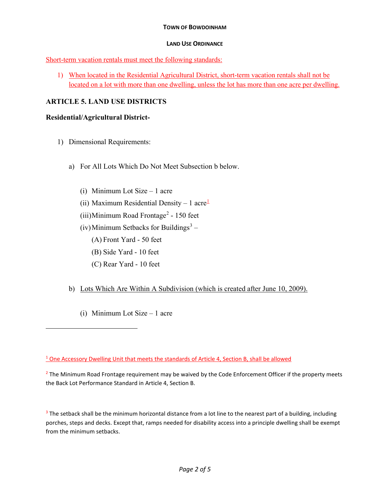#### **LAND USE ORDINANCE**

Short-term vacation rentals must meet the following standards:

1) When located in the Residential Agricultural District, short-term vacation rentals shall not be located on a lot with more than one dwelling, unless the lot has more than one acre per dwelling.

## **ARTICLE 5. LAND USE DISTRICTS**

### **Residential/Agricultural District-**

- 1) Dimensional Requirements:
	- a) For All Lots Which Do Not Meet Subsection b below.
		- (i) Minimum Lot Size 1 acre (ii) Maximum Residential Density – [1](#page-4-0) acre<sup> $\frac{1}{2}$ </sup> (iii)Minimum Road Frontage<sup>[2](#page-4-1)</sup> - 150 feet  $(iv)$ Minimum Setbacks for Buildings<sup>[3](#page-4-2)</sup> – (A) Front Yard - 50 feet (B) Side Yard - 10 feet (C) Rear Yard - 10 feet
	- b) Lots Which Are Within A Subdivision (which is created after June 10, 2009).
		- (i) Minimum Lot Size 1 acre

<span id="page-4-1"></span><span id="page-4-0"></span><sup>&</sup>lt;sup>1</sup> One Accessory Dwelling Unit that meets the standards of Article 4, Section B, shall be allowed

 $2$  The Minimum Road Frontage requirement may be waived by the Code Enforcement Officer if the property meets the Back Lot Performance Standard in Article 4, Section B.

<span id="page-4-2"></span> $3$  The setback shall be the minimum horizontal distance from a lot line to the nearest part of a building, including porches, steps and decks. Except that, ramps needed for disability access into a principle dwelling shall be exempt from the minimum setbacks.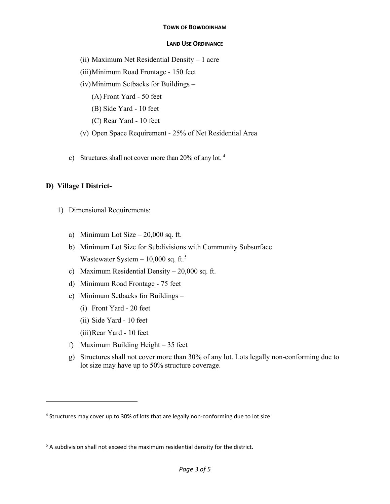#### **LAND USE ORDINANCE**

- (ii) Maximum Net Residential Density 1 acre
- (iii)Minimum Road Frontage 150 feet
- (iv)Minimum Setbacks for Buildings
	- (A) Front Yard 50 feet
	- (B) Side Yard 10 feet
	- (C) Rear Yard 10 feet
- (v) Open Space Requirement 25% of Net Residential Area
- c) Structures shall not cover more than 20% of any lot. [4](#page-5-0)

## **D) Village I District-**

- 1) Dimensional Requirements:
	- a) Minimum Lot Size  $20,000$  sq. ft.
	- b) Minimum Lot Size for Subdivisions with Community Subsurface Wastewater System  $-10,000$  sq. ft.<sup>[5](#page-5-1)</sup>
	- c) Maximum Residential Density 20,000 sq. ft.
	- d) Minimum Road Frontage 75 feet
	- e) Minimum Setbacks for Buildings
		- (i) Front Yard 20 feet
		- (ii) Side Yard 10 feet
		- (iii)Rear Yard 10 feet
	- f) Maximum Building Height 35 feet
	- g) Structures shall not cover more than 30% of any lot. Lots legally non-conforming due to lot size may have up to 50% structure coverage.

<span id="page-5-0"></span><sup>4</sup> Structures may cover up to 30% of lots that are legally non-conforming due to lot size.

<span id="page-5-1"></span><sup>&</sup>lt;sup>5</sup> A subdivision shall not exceed the maximum residential density for the district.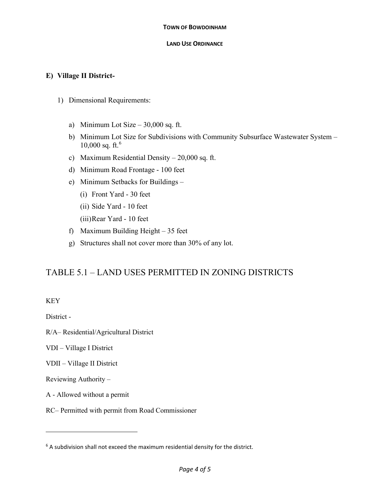#### **LAND USE ORDINANCE**

### **E) Village II District-**

- 1) Dimensional Requirements:
	- a) Minimum Lot Size  $30,000$  sq. ft.
	- b) Minimum Lot Size for Subdivisions with Community Subsurface Wastewater System 10,000 sq. ft. $^6$  $^6$
	- c) Maximum Residential Density 20,000 sq. ft.
	- d) Minimum Road Frontage 100 feet
	- e) Minimum Setbacks for Buildings
		- (i) Front Yard 30 feet
		- (ii) Side Yard 10 feet
		- (iii)Rear Yard 10 feet
	- f) Maximum Building Height 35 feet
	- g) Structures shall not cover more than 30% of any lot.

## TABLE 5.1 – LAND USES PERMITTED IN ZONING DISTRICTS

### **KEY**

District -

R/A– Residential/Agricultural District

VDI – Village I District

VDII – Village II District

Reviewing Authority –

- A Allowed without a permit
- RC– Permitted with permit from Road Commissioner

<span id="page-6-0"></span> $6$  A subdivision shall not exceed the maximum residential density for the district.